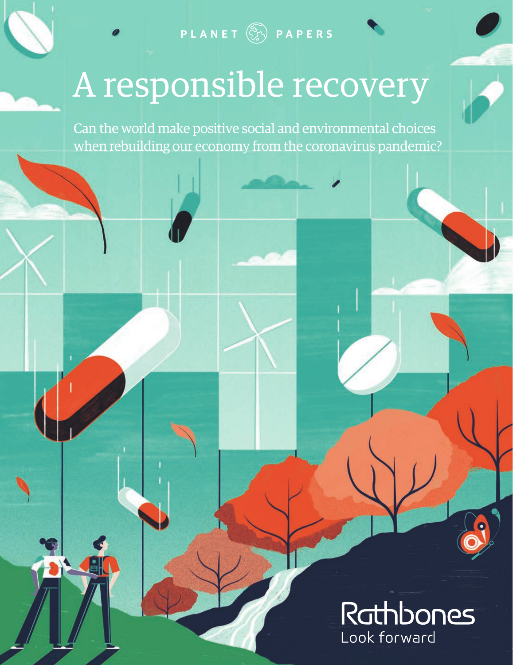**PLANET PAPERS**

# A responsible recovery

Can the world make positive social and environmental choices when rebuilding our economy from the coronavirus pandemic?

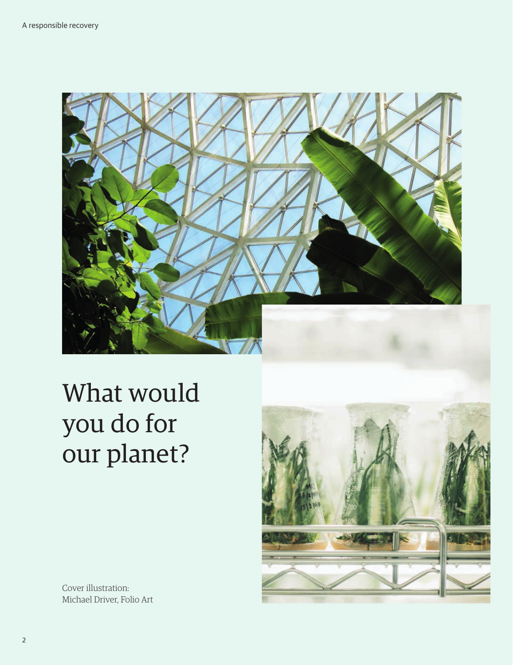

## What would you do for our planet?

Cover illustration: Michael Driver, Folio Art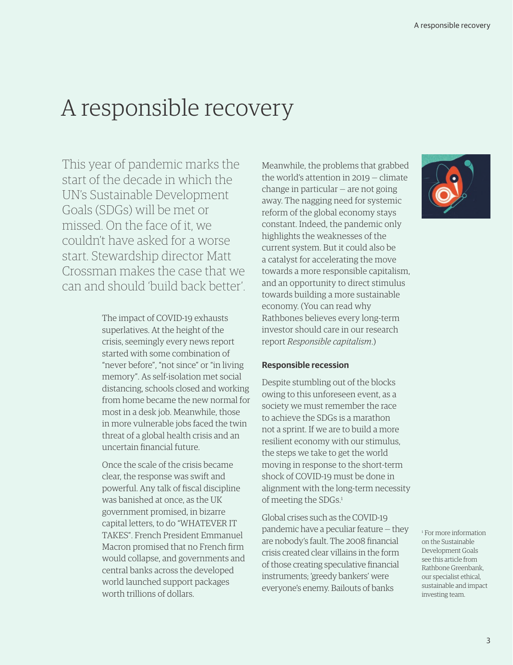### A responsible recovery

This year of pandemic marks the start of the decade in which the UN's Sustainable Development Goals (SDGs) will be met or missed. On the face of it, we couldn't have asked for a worse start. Stewardship director Matt Crossman makes the case that we can and should 'build back better'.

> The impact of COVID-19 exhausts superlatives. At the height of the crisis, seemingly every news report started with some combination of "never before", "not since" or "in living memory". As self-isolation met social distancing, schools closed and working from home became the new normal for most in a desk job. Meanwhile, those in more vulnerable jobs faced the twin threat of a global health crisis and an uncertain financial future.

Once the scale of the crisis became clear, the response was swift and powerful. Any talk of fiscal discipline was banished at once, as the UK government promised, in bizarre capital letters, to do "WHATEVER IT TAKES". French President Emmanuel Macron promised that no French firm would collapse, and governments and central banks across the developed world launched support packages worth trillions of dollars.

Meanwhile, the problems that grabbed the world's attention in 2019 — climate change in particular — are not going away. The nagging need for systemic reform of the global economy stays constant. Indeed, the pandemic only highlights the weaknesses of the current system. But it could also be a catalyst for accelerating the move towards a more responsible capitalism, and an opportunity to direct stimulus towards building a more sustainable economy. (You can read why Rathbones believes every long-term investor should care in our research report *[Responsible capitalism](https://www.rathbones.com/knowledge-and-insight/responsible-capitalism)*.)

#### **Responsible recession**

Despite stumbling out of the blocks owing to this unforeseen event, as a society we must remember the race to achieve the SDGs is a marathon not a sprint. If we are to build a more resilient economy with our stimulus, the steps we take to get the world moving in response to the short-term shock of COVID-19 must be done in alignment with the long-term necessity of meeting the SDGs.<sup>1</sup>

Global crises such as the COVID-19 pandemic have a peculiar feature — they are nobody's fault. The 2008 financial crisis created clear villains in the form of those creating speculative financial instruments; 'greedy bankers' were everyone's enemy. Bailouts of banks



1  [For more information](https://www.rathbonegreenbank.com/insight/supporting-un-sustainable-development-goals)  [on the Sustainable](https://www.rathbonegreenbank.com/insight/supporting-un-sustainable-development-goals)  [Development Goals](https://www.rathbonegreenbank.com/insight/supporting-un-sustainable-development-goals)  [see this article from](https://www.rathbonegreenbank.com/insight/supporting-un-sustainable-development-goals)  [Rathbone Greenbank,](https://www.rathbonegreenbank.com/insight/supporting-un-sustainable-development-goals)  [our specialist ethical,](https://www.rathbonegreenbank.com/insight/supporting-un-sustainable-development-goals)  [sustainable and impact](https://www.rathbonegreenbank.com/insight/supporting-un-sustainable-development-goals)  [investing team.](https://www.rathbonegreenbank.com/insight/supporting-un-sustainable-development-goals)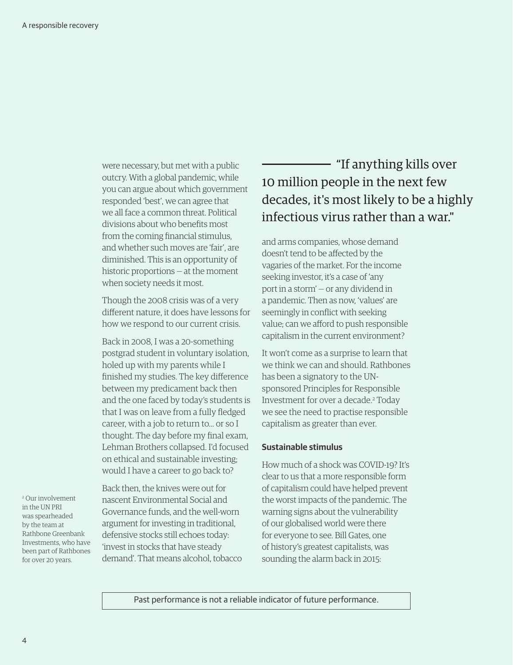were necessary, but met with a public outcry. With a global pandemic, while you can argue about which government responded 'best', we can agree that we all face a common threat. Political divisions about who benefits most from the coming financial stimulus, and whether such moves are 'fair', are diminished. This is an opportunity of historic proportions — at the moment when society needs it most.

Though the 2008 crisis was of a very different nature, it does have lessons for how we respond to our current crisis.

Back in 2008, I was a 20-something postgrad student in voluntary isolation, holed up with my parents while I finished my studies. The key difference between my predicament back then and the one faced by today's students is that I was on leave from a fully fledged career, with a job to return to… or so I thought. The day before my final exam, Lehman Brothers collapsed. I'd focused on ethical and sustainable investing; would I have a career to go back to?

2 Our involvement in the UN PRI was spearheaded by the team at Rathbone Greenbank Investments, who have been part of Rathbones for over 20 years.

Back then, the knives were out for nascent Environmental Social and Governance funds, and the well-worn argument for investing in traditional, defensive stocks still echoes today: 'invest in stocks that have steady demand'. That means alcohol, tobacco

#### "If anything kills over 10 million people in the next few decades, it's most likely to be a highly infectious virus rather than a war."

and arms companies, whose demand doesn't tend to be affected by the vagaries of the market. For the income seeking investor, it's a case of 'any port in a storm' — or any dividend in a pandemic. Then as now, 'values' are seemingly in conflict with seeking value; can we afford to push responsible capitalism in the current environment?

It won't come as a surprise to learn that we think we can and should. Rathbones has been a signatory to the UNsponsored Principles for Responsible Investment for over a decade.<sup>2</sup> Today we see the need to practise responsible capitalism as greater than ever.

#### **Sustainable stimulus**

How much of a shock was COVID-19? It's clear to us that a more responsible form of capitalism could have helped prevent the worst impacts of the pandemic. The warning signs about the vulnerability of our globalised world were there for everyone to see. Bill Gates, one of history's greatest capitalists, was sounding the alarm back in 2015:

Past performance is not a reliable indicator of future performance.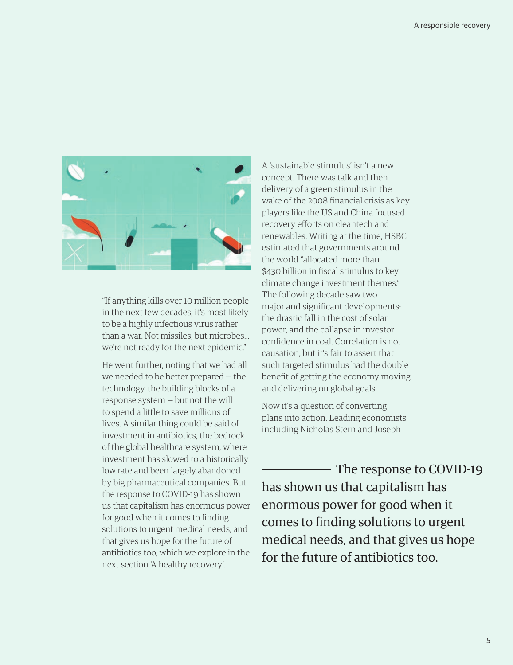

"If anything kills over 10 million people in the next few decades, it's most likely to be a highly infectious virus rather than a war. Not missiles, but microbes… we're not ready for the next epidemic."

He went further, noting that we had all we needed to be better prepared — the technology, the building blocks of a response system — but not the will to spend a little to save millions of lives. A similar thing could be said of investment in antibiotics, the bedrock of the global healthcare system, where investment has slowed to a historically low rate and been largely abandoned by big pharmaceutical companies. But the response to COVID-19 has shown us that capitalism has enormous power for good when it comes to finding solutions to urgent medical needs, and that gives us hope for the future of antibiotics too, which we explore in the next section 'A healthy recovery'.

A 'sustainable stimulus' isn't a new concept. There was talk and then delivery of a green stimulus in the wake of the 2008 financial crisis as key players like the US and China focused recovery efforts on cleantech and renewables. Writing at the time, HSBC estimated that governments around the world "allocated more than \$430 billion in fiscal stimulus to key climate change investment themes." The following decade saw two major and significant developments: the drastic fall in the cost of solar power, and the collapse in investor confidence in coal. Correlation is not causation, but it's fair to assert that such targeted stimulus had the double benefit of getting the economy moving and delivering on global goals.

Now it's a question of converting plans into action. Leading economists, including Nicholas Stern and Joseph

 The response to COVID-19 has shown us that capitalism has enormous power for good when it comes to finding solutions to urgent medical needs, and that gives us hope for the future of antibiotics too.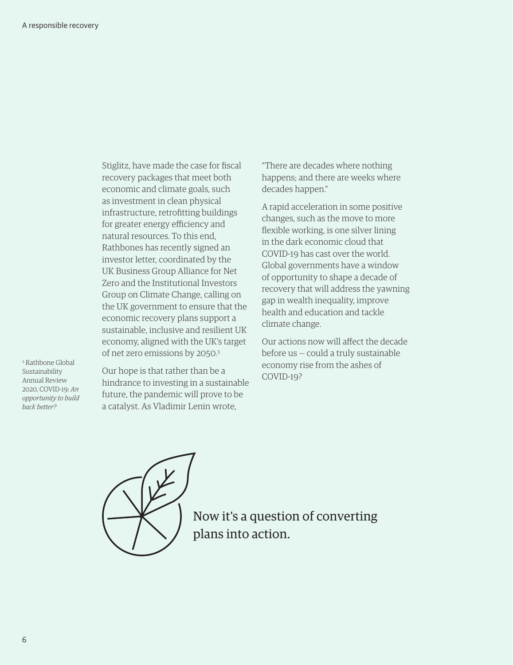Stiglitz, have made the case for fiscal recovery packages that meet both economic and climate goals, such as investment in clean physical infrastructure, retrofitting buildings for greater energy efficiency and natural resources. To this end, Rathbones has recently signed an investor letter, coordinated by the UK Business Group Alliance for Net Zero and the Institutional Investors Group on Climate Change, calling on the UK government to ensure that the economic recovery plans support a sustainable, inclusive and resilient UK economy, aligned with the UK's target of net zero emissions by 2050.3

3 Rathbone Global Sustainability Annual Review 2020, COVID-19: *An opportunity to build back better?* 

Our hope is that rather than be a hindrance to investing in a sustainable future, the pandemic will prove to be a catalyst. As Vladimir Lenin wrote,

"There are decades where nothing happens; and there are weeks where decades happen."

A rapid acceleration in some positive changes, such as the move to more flexible working, is one silver lining in the dark economic cloud that COVID-19 has cast over the world. Global governments have a window of opportunity to shape a decade of recovery that will address the yawning gap in wealth inequality, improve health and education and tackle climate change.

Our actions now will affect the decade before us — could a truly sustainable economy rise from the ashes of COVID-19?



Now it's a question of converting plans into action.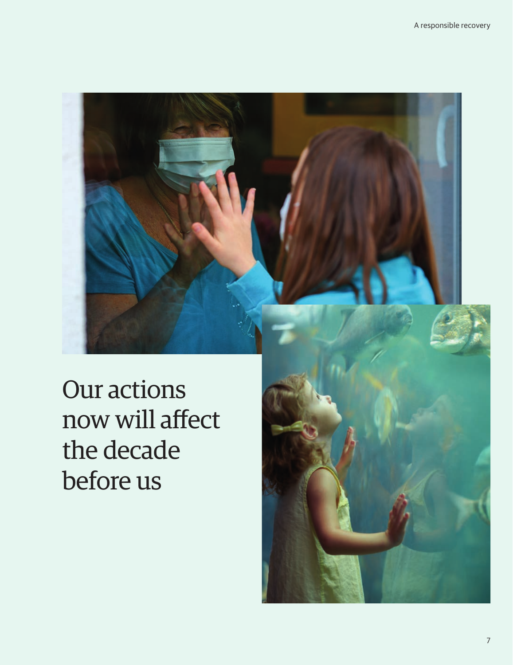Our actions now will affect the decade before us

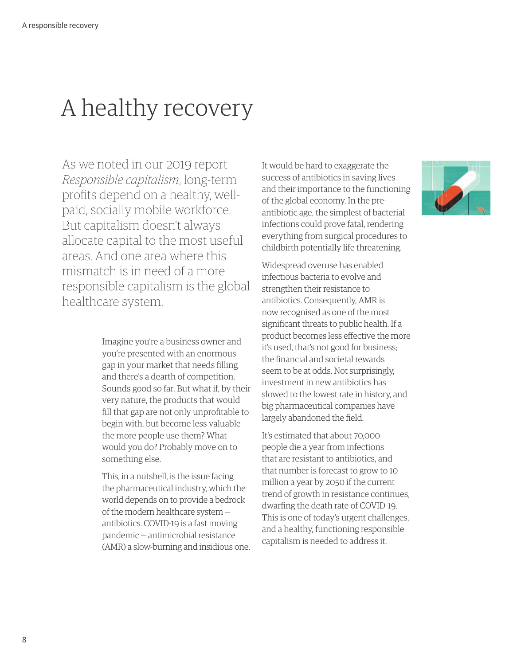## A healthy recovery

As we noted in our 2019 report *[Responsible capitalism](https://www.rathbones.com/knowledge-and-insight/responsible-capitalism)*, long-term profits depend on a healthy, wellpaid, socially mobile workforce. But capitalism doesn't always allocate capital to the most useful areas. And one area where this mismatch is in need of a more responsible capitalism is the global healthcare system.

> Imagine you're a business owner and you're presented with an enormous gap in your market that needs filling and there's a dearth of competition. Sounds good so far. But what if, by their very nature, the products that would fill that gap are not only unprofitable to begin with, but become less valuable the more people use them? What would you do? Probably move on to something else.

> This, in a nutshell, is the issue facing the pharmaceutical industry, which the world depends on to provide a bedrock of the modern healthcare system antibiotics. COVID-19 is a fast moving pandemic — antimicrobial resistance (AMR) a slow-burning and insidious one.

It would be hard to exaggerate the success of antibiotics in saving lives and their importance to the functioning of the global economy. In the preantibiotic age, the simplest of bacterial infections could prove fatal, rendering everything from surgical procedures to childbirth potentially life threatening.

Widespread overuse has enabled infectious bacteria to evolve and strengthen their resistance to antibiotics. Consequently, AMR is now recognised as one of the most significant threats to public health. If a product becomes less effective the more it's used, that's not good for business; the financial and societal rewards seem to be at odds. Not surprisingly, investment in new antibiotics has slowed to the lowest rate in history, and big pharmaceutical companies have largely abandoned the field.

It's estimated that about 70,000 people die a year from infections that are resistant to antibiotics, and that number is forecast to grow to 10 million a year by 2050 if the current trend of growth in resistance continues, dwarfing the death rate of COVID-19. This is one of today's urgent challenges, and a healthy, functioning responsible capitalism is needed to address it.

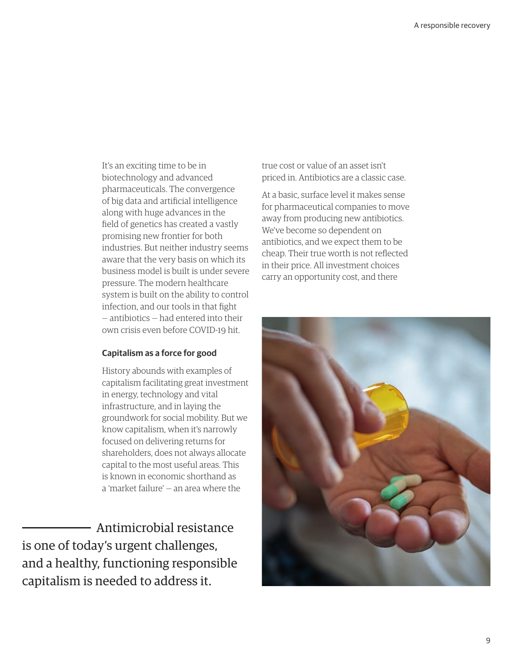It's an exciting time to be in biotechnology and advanced pharmaceuticals. The convergence of big data and artificial intelligence along with huge advances in the field of genetics has created a vastly promising new frontier for both industries. But neither industry seems aware that the very basis on which its business model is built is under severe pressure. The modern healthcare system is built on the ability to control infection, and our tools in that fight — antibiotics — had entered into their own crisis even before COVID-19 hit.

#### **Capitalism as a force for good**

History abounds with examples of capitalism facilitating great investment in energy, technology and vital infrastructure, and in laying the groundwork for social mobility. But we know capitalism, when it's narrowly focused on delivering returns for shareholders, does not always allocate capital to the most useful areas. This is known in economic shorthand as a 'market failure' — an area where the

 Antimicrobial resistance is one of today's urgent challenges, and a healthy, functioning responsible capitalism is needed to address it.

true cost or value of an asset isn't priced in. Antibiotics are a classic case.

At a basic, surface level it makes sense for pharmaceutical companies to move away from producing new antibiotics. We've become so dependent on antibiotics, and we expect them to be cheap. Their true worth is not reflected in their price. All investment choices carry an opportunity cost, and there

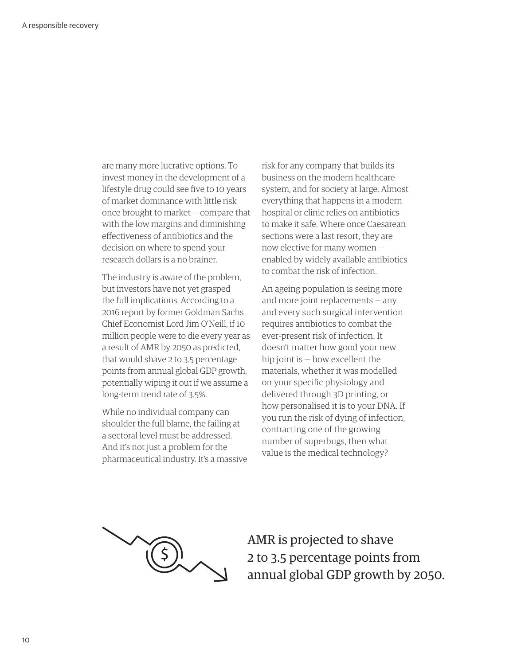are many more lucrative options. To invest money in the development of a lifestyle drug could see five to 10 years of market dominance with little risk once brought to market — compare that with the low margins and diminishing effectiveness of antibiotics and the decision on where to spend your research dollars is a no brainer.

The industry is aware of the problem, but investors have not yet grasped the full implications. According to a 2016 report by former Goldman Sachs Chief Economist Lord Jim O'Neill, if 10 million people were to die every year as a result of AMR by 2050 as predicted, that would shave 2 to 3.5 percentage points from annual global GDP growth, potentially wiping it out if we assume a long-term trend rate of 3.5%.

While no individual company can shoulder the full blame, the failing at a sectoral level must be addressed. And it's not just a problem for the pharmaceutical industry. It's a massive risk for any company that builds its business on the modern healthcare system, and for society at large. Almost everything that happens in a modern hospital or clinic relies on antibiotics to make it safe. Where once Caesarean sections were a last resort, they are now elective for many women enabled by widely available antibiotics to combat the risk of infection.

An ageing population is seeing more and more joint replacements — any and every such surgical intervention requires antibiotics to combat the ever-present risk of infection. It doesn't matter how good your new hip joint is — how excellent the materials, whether it was modelled on your specific physiology and delivered through 3D printing, or how personalised it is to your DNA. If you run the risk of dying of infection, contracting one of the growing number of superbugs, then what value is the medical technology?



AMR is projected to shave 2 to 3.5 percentage points from annual global GDP growth by 2050.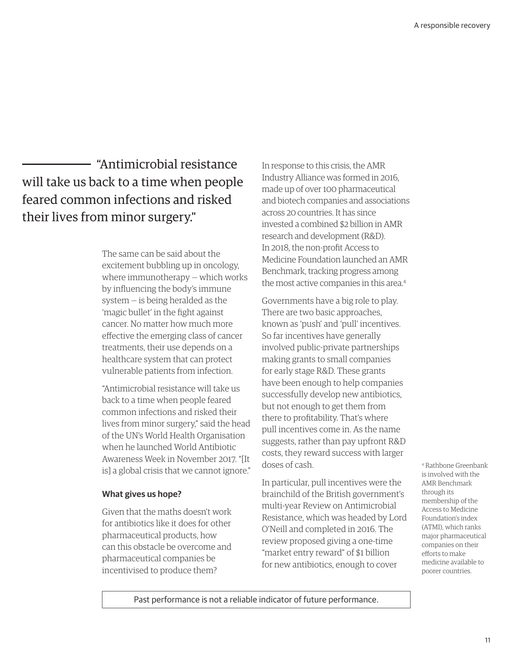"Antimicrobial resistance will take us back to a time when people feared common infections and risked their lives from minor surgery."

> The same can be said about the excitement bubbling up in oncology, where immunotherapy — which works by influencing the body's immune system — is being heralded as the 'magic bullet' in the fight against cancer. No matter how much more effective the emerging class of cancer treatments, their use depends on a healthcare system that can protect vulnerable patients from infection.

"Antimicrobial resistance will take us back to a time when people feared common infections and risked their lives from minor surgery," said the head of the UN's World Health Organisation when he launched World Antibiotic Awareness Week in November 2017. "[It is] a global crisis that we cannot ignore."

#### **What gives us hope?**

Given that the maths doesn't work for antibiotics like it does for other pharmaceutical products, how can this obstacle be overcome and pharmaceutical companies be incentivised to produce them?

In response to this crisis, the AMR Industry Alliance was formed in 2016, made up of over 100 pharmaceutical and biotech companies and associations across 20 countries. It has since invested a combined \$2 billion in AMR research and development (R&D). In 2018, the non-profit Access to Medicine Foundation launched an AMR Benchmark, tracking progress among the most active companies in this area.<sup>4</sup>

Governments have a big role to play. There are two basic approaches, known as 'push' and 'pull' incentives. So far incentives have generally involved public-private partnerships making grants to small companies for early stage R&D. These grants have been enough to help companies successfully develop new antibiotics, but not enough to get them from there to profitability. That's where pull incentives come in. As the name suggests, rather than pay upfront R&D costs, they reward success with larger doses of cash.

In particular, pull incentives were the brainchild of the British government's multi-year Review on Antimicrobial Resistance, which was headed by Lord O'Neill and completed in 2016. The review proposed giving a one-time "market entry reward" of \$1 billion for new antibiotics, enough to cover

4 Rathbone Greenbank is involved with the AMR Benchmark through its membership of the Access to Medicine Foundation's index (ATMI), which ranks major pharmaceutical companies on their efforts to make medicine available to poorer countries.

Past performance is not a reliable indicator of future performance.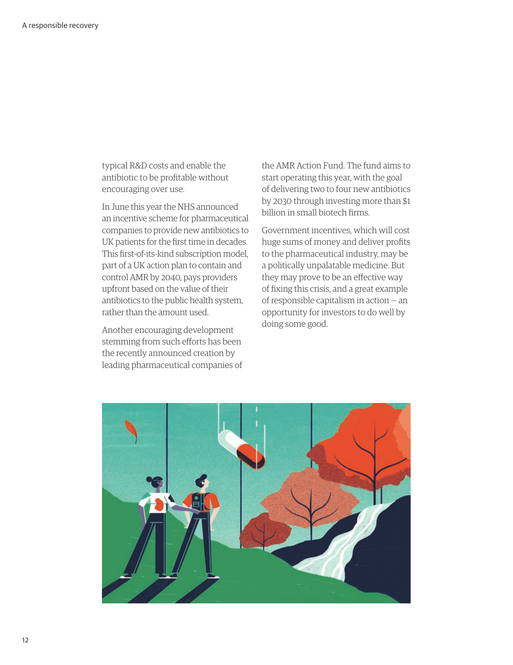typical R&D costs and enable the antibiotic to be profitable without encouraging over use.

In June this year the NHS announced an incentive scheme for pharmaceutical companies to provide new antibiotics to UK patients for the first time in decades. This first-of-its-kind subscription model, part of a UK action plan to contain and control AMR by 2040, pays providers upfront based on the value of their antibiotics to the public health system, rather than the amount used.

Another encouraging development stemming from such efforts has been the recently announced creation by leading pharmaceutical companies of the AMR Action Fund. The fund aims to start operating this year, with the goal of delivering two to four new antibiotics by 2030 through investing more than \$1 billion in small biotech firms.

Government incentives, which will cost huge sums of money and deliver profits to the pharmaceutical industry, may be a politically unpalatable medicine. But they may prove to be an effective way of fixing this crisis, and a great example of responsible capitalism in action — an opportunity for investors to do well by doing some good.

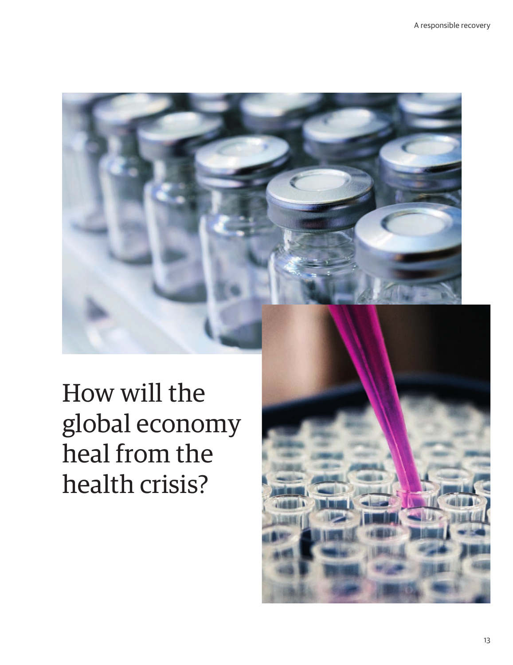How will the global economy heal from the health crisis?

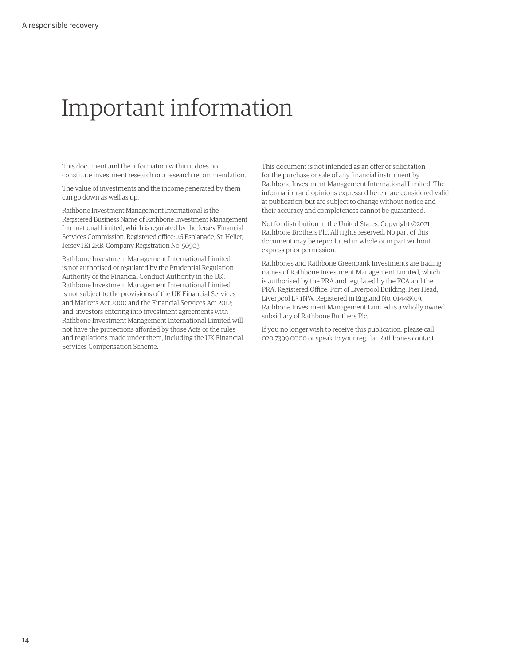## Important information

This document and the information within it does not constitute investment research or a research recommendation.

The value of investments and the income generated by them can go down as well as up.

Rathbone Investment Management International is the Registered Business Name of Rathbone Investment Management International Limited, which is regulated by the Jersey Financial Services Commission. Registered office: 26 Esplanade, St. Helier, Jersey JE1 2RB. Company Registration No. 50503.

Rathbone Investment Management International Limited is not authorised or regulated by the Prudential Regulation Authority or the Financial Conduct Authority in the UK. Rathbone Investment Management International Limited is not subject to the provisions of the UK Financial Services and Markets Act 2000 and the Financial Services Act 2012; and, investors entering into investment agreements with Rathbone Investment Management International Limited will not have the protections afforded by those Acts or the rules and regulations made under them, including the UK Financial Services Compensation Scheme.

This document is not intended as an offer or solicitation for the purchase or sale of any financial instrument by Rathbone Investment Management International Limited. The information and opinions expressed herein are considered valid at publication, but are subject to change without notice and their accuracy and completeness cannot be guaranteed.

Not for distribution in the United States. Copyright ©2021 Rathbone Brothers Plc. All rights reserved. No part of this document may be reproduced in whole or in part without express prior permission.

Rathbones and Rathbone Greenbank Investments are trading names of Rathbone Investment Management Limited, which is authorised by the PRA and regulated by the FCA and the PRA. Registered Office: Port of Liverpool Building, Pier Head, Liverpool L3 1NW. Registered in England No. 01448919. Rathbone Investment Management Limited is a wholly owned subsidiary of Rathbone Brothers Plc.

If you no longer wish to receive this publication, please call 020 7399 0000 or speak to your regular Rathbones contact.